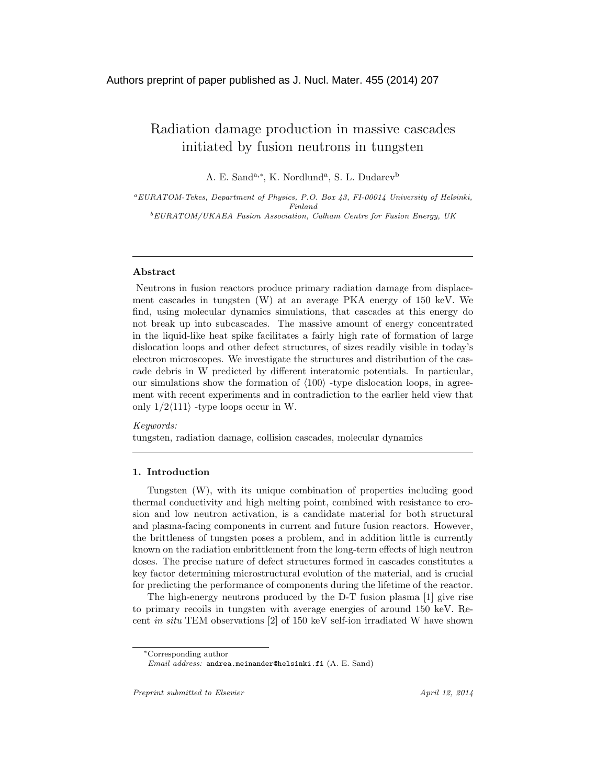# Radiation damage production in massive cascades initiated by fusion neutrons in tungsten

A. E. Sand<sup>a,\*</sup>, K. Nordlund<sup>a</sup>, S. L. Dudarev<sup>b</sup>

<sup>a</sup>EURATOM-Tekes, Department of Physics, P.O. Box 43, FI-00014 University of Helsinki, Finland <sup>b</sup>EURATOM/UKAEA Fusion Association, Culham Centre for Fusion Energy, UK

## Abstract

Neutrons in fusion reactors produce primary radiation damage from displacement cascades in tungsten (W) at an average PKA energy of 150 keV. We find, using molecular dynamics simulations, that cascades at this energy do not break up into subcascades. The massive amount of energy concentrated in the liquid-like heat spike facilitates a fairly high rate of formation of large dislocation loops and other defect structures, of sizes readily visible in today's electron microscopes. We investigate the structures and distribution of the cascade debris in W predicted by different interatomic potentials. In particular, our simulations show the formation of  $\langle 100 \rangle$  -type dislocation loops, in agreement with recent experiments and in contradiction to the earlier held view that only  $1/2\langle 111 \rangle$  -type loops occur in W.

# Keywords:

tungsten, radiation damage, collision cascades, molecular dynamics

## 1. Introduction

Tungsten (W), with its unique combination of properties including good thermal conductivity and high melting point, combined with resistance to erosion and low neutron activation, is a candidate material for both structural and plasma-facing components in current and future fusion reactors. However, the brittleness of tungsten poses a problem, and in addition little is currently known on the radiation embrittlement from the long-term effects of high neutron doses. The precise nature of defect structures formed in cascades constitutes a key factor determining microstructural evolution of the material, and is crucial for predicting the performance of components during the lifetime of the reactor.

The high-energy neutrons produced by the D-T fusion plasma [1] give rise to primary recoils in tungsten with average energies of around 150 keV. Recent in situ TEM observations [2] of 150 keV self-ion irradiated W have shown

<sup>∗</sup>Corresponding author

Email address: andrea.meinander@helsinki.fi (A. E. Sand)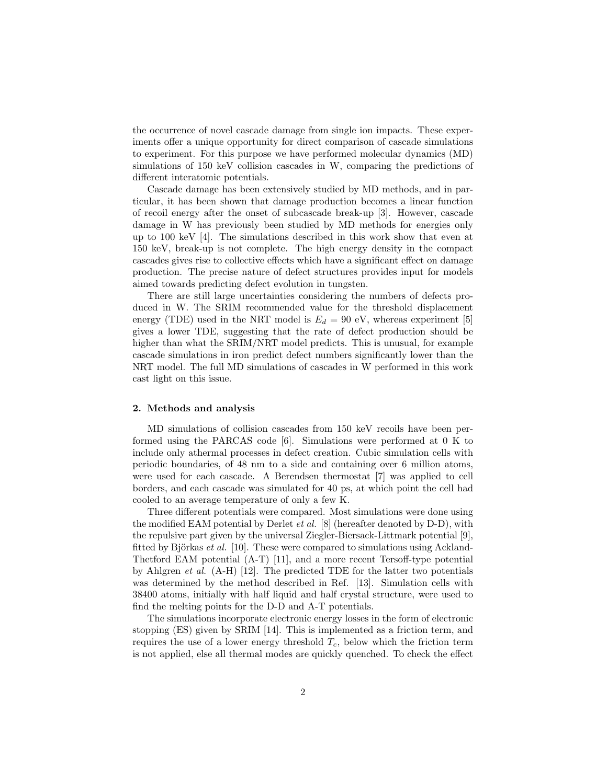the occurrence of novel cascade damage from single ion impacts. These experiments offer a unique opportunity for direct comparison of cascade simulations to experiment. For this purpose we have performed molecular dynamics (MD) simulations of 150 keV collision cascades in W, comparing the predictions of different interatomic potentials.

Cascade damage has been extensively studied by MD methods, and in particular, it has been shown that damage production becomes a linear function of recoil energy after the onset of subcascade break-up [3]. However, cascade damage in W has previously been studied by MD methods for energies only up to 100 keV  $[4]$ . The simulations described in this work show that even at 150 keV, break-up is not complete. The high energy density in the compact cascades gives rise to collective effects which have a significant effect on damage production. The precise nature of defect structures provides input for models aimed towards predicting defect evolution in tungsten.

There are still large uncertainties considering the numbers of defects produced in W. The SRIM recommended value for the threshold displacement energy (TDE) used in the NRT model is  $E_d = 90$  eV, whereas experiment [5] gives a lower TDE, suggesting that the rate of defect production should be higher than what the SRIM/NRT model predicts. This is unusual, for example cascade simulations in iron predict defect numbers significantly lower than the NRT model. The full MD simulations of cascades in W performed in this work cast light on this issue.

### 2. Methods and analysis

MD simulations of collision cascades from 150 keV recoils have been performed using the PARCAS code [6]. Simulations were performed at 0 K to include only athermal processes in defect creation. Cubic simulation cells with periodic boundaries, of 48 nm to a side and containing over 6 million atoms, were used for each cascade. A Berendsen thermostat [7] was applied to cell borders, and each cascade was simulated for 40 ps, at which point the cell had cooled to an average temperature of only a few K.

Three different potentials were compared. Most simulations were done using the modified EAM potential by Derlet *et al.* [8] (hereafter denoted by D-D), with the repulsive part given by the universal Ziegler-Biersack-Littmark potential [9], fitted by Björkas *et al.* [10]. These were compared to simulations using Ackland-Thetford EAM potential (A-T) [11], and a more recent Tersoff-type potential by Ahlgren et al. (A-H) [12]. The predicted TDE for the latter two potentials was determined by the method described in Ref. [13]. Simulation cells with 38400 atoms, initially with half liquid and half crystal structure, were used to find the melting points for the D-D and A-T potentials.

The simulations incorporate electronic energy losses in the form of electronic stopping (ES) given by SRIM [14]. This is implemented as a friction term, and requires the use of a lower energy threshold  $T_c$ , below which the friction term is not applied, else all thermal modes are quickly quenched. To check the effect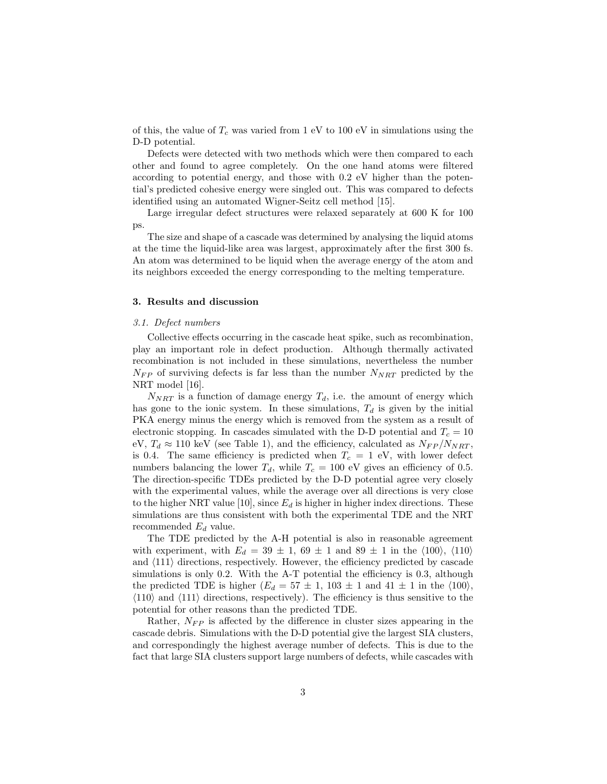of this, the value of  $T_c$  was varied from 1 eV to 100 eV in simulations using the D-D potential.

Defects were detected with two methods which were then compared to each other and found to agree completely. On the one hand atoms were filtered according to potential energy, and those with 0.2 eV higher than the potential's predicted cohesive energy were singled out. This was compared to defects identified using an automated Wigner-Seitz cell method [15].

Large irregular defect structures were relaxed separately at 600 K for 100 ps.

The size and shape of a cascade was determined by analysing the liquid atoms at the time the liquid-like area was largest, approximately after the first 300 fs. An atom was determined to be liquid when the average energy of the atom and its neighbors exceeded the energy corresponding to the melting temperature.

#### 3. Results and discussion

# 3.1. Defect numbers

Collective effects occurring in the cascade heat spike, such as recombination, play an important role in defect production. Although thermally activated recombination is not included in these simulations, nevertheless the number  $N_{FP}$  of surviving defects is far less than the number  $N_{NRT}$  predicted by the NRT model [16].

 $N_{NRT}$  is a function of damage energy  $T_d$ , i.e. the amount of energy which has gone to the ionic system. In these simulations,  $T_d$  is given by the initial PKA energy minus the energy which is removed from the system as a result of electronic stopping. In cascades simulated with the D-D potential and  $T_c = 10$ eV,  $T_d \approx 110$  keV (see Table 1), and the efficiency, calculated as  $N_{FP}/N_{NRT}$ , is 0.4. The same efficiency is predicted when  $T_c = 1$  eV, with lower defect numbers balancing the lower  $T_d$ , while  $T_c = 100$  eV gives an efficiency of 0.5. The direction-specific TDEs predicted by the D-D potential agree very closely with the experimental values, while the average over all directions is very close to the higher NRT value [10], since  $E_d$  is higher in higher index directions. These simulations are thus consistent with both the experimental TDE and the NRT recommended  $E_d$  value.

The TDE predicted by the A-H potential is also in reasonable agreement with experiment, with  $E_d = 39 \pm 1$ ,  $69 \pm 1$  and  $89 \pm 1$  in the  $\langle 100 \rangle$ ,  $\langle 110 \rangle$ and  $\langle 111 \rangle$  directions, respectively. However, the efficiency predicted by cascade simulations is only 0.2. With the A-T potential the efficiency is 0.3, although the predicted TDE is higher  $(E_d = 57 \pm 1, 103 \pm 1 \text{ and } 41 \pm 1 \text{ in the } \langle 100 \rangle$ ,  $\langle 110 \rangle$  and  $\langle 111 \rangle$  directions, respectively). The efficiency is thus sensitive to the potential for other reasons than the predicted TDE.

Rather,  $N_{FP}$  is affected by the difference in cluster sizes appearing in the cascade debris. Simulations with the D-D potential give the largest SIA clusters, and correspondingly the highest average number of defects. This is due to the fact that large SIA clusters support large numbers of defects, while cascades with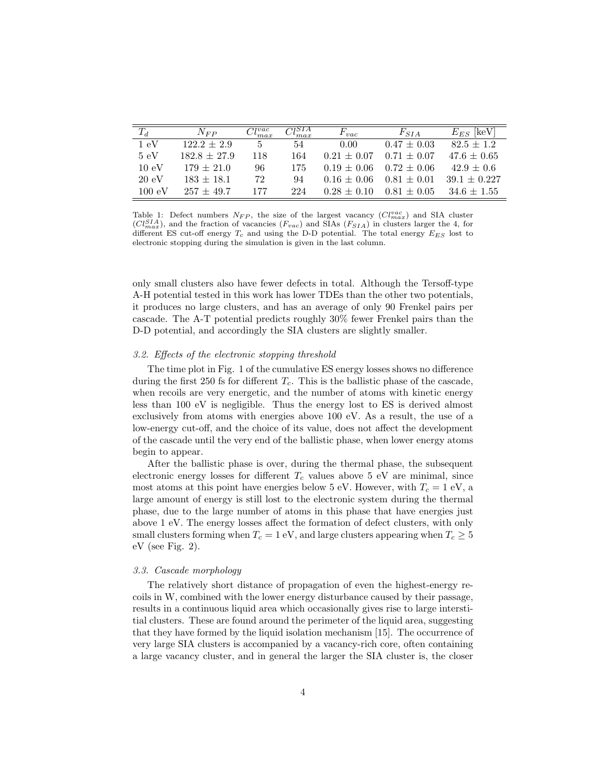| $T_d$          | $N_{FP}$         | $Cl_{max}^{vac}$ | C <sub>1</sub> SIA | $F_{vac}$       | $F_{SIA}$       | $E_{ES}$ [keV]   |
|----------------|------------------|------------------|--------------------|-----------------|-----------------|------------------|
| $1 \text{ eV}$ | $122.2 \pm 2.9$  | 5                | 54                 | 0.00            | $0.47 \pm 0.03$ | $82.5 \pm 1.2$   |
| 5eV            | $182.8 \pm 27.9$ | 118              | 164                | $0.21 \pm 0.07$ | $0.71 \pm 0.07$ | $47.6 \pm 0.65$  |
| 10 eV          | $179 \pm 21.0$   | 96               | 175                | $0.19 + 0.06$   | $0.72 \pm 0.06$ | $42.9 \pm 0.6$   |
| 20 eV          | $183 \pm 18.1$   | 72               | 94                 | $0.16 \pm 0.06$ | $0.81 + 0.01$   | $39.1 \pm 0.227$ |
| 100 eV         | $257 \pm 49.7$   | 177              | 224                | $0.28 \pm 0.10$ | $0.81 + 0.05$   | $34.6 \pm 1.55$  |

Table 1: Defect numbers  $N_{FP}$ , the size of the largest vacancy  $(Cl_{max}^{vac})$  and SIA cluster  $(Cl_{max}^{SIA})$ , and the fraction of vacancies  $(F_{vac})$  and SIAs  $(F_{SIA})$  in clusters larger the 4, for different ES cut-off energy  $T_c$  and using the D-D potential. The total energy  $E_{ES}$  lost to electronic stopping during the simulation is given in the last column.

only small clusters also have fewer defects in total. Although the Tersoff-type A-H potential tested in this work has lower TDEs than the other two potentials, it produces no large clusters, and has an average of only 90 Frenkel pairs per cascade. The A-T potential predicts roughly 30% fewer Frenkel pairs than the D-D potential, and accordingly the SIA clusters are slightly smaller.

#### 3.2. Effects of the electronic stopping threshold

The time plot in Fig. 1 of the cumulative ES energy losses shows no difference during the first 250 fs for different  $T_c$ . This is the ballistic phase of the cascade, when recoils are very energetic, and the number of atoms with kinetic energy less than 100 eV is negligible. Thus the energy lost to ES is derived almost exclusively from atoms with energies above 100 eV. As a result, the use of a low-energy cut-off, and the choice of its value, does not affect the development of the cascade until the very end of the ballistic phase, when lower energy atoms begin to appear.

After the ballistic phase is over, during the thermal phase, the subsequent electronic energy losses for different  $T_c$  values above 5 eV are minimal, since most atoms at this point have energies below 5 eV. However, with  $T_c = 1$  eV, a large amount of energy is still lost to the electronic system during the thermal phase, due to the large number of atoms in this phase that have energies just above 1 eV. The energy losses affect the formation of defect clusters, with only small clusters forming when  $T_c = 1$  eV, and large clusters appearing when  $T_c \geq 5$  $eV$  (see Fig. 2).

# 3.3. Cascade morphology

The relatively short distance of propagation of even the highest-energy recoils in W, combined with the lower energy disturbance caused by their passage, results in a continuous liquid area which occasionally gives rise to large interstitial clusters. These are found around the perimeter of the liquid area, suggesting that they have formed by the liquid isolation mechanism [15]. The occurrence of very large SIA clusters is accompanied by a vacancy-rich core, often containing a large vacancy cluster, and in general the larger the SIA cluster is, the closer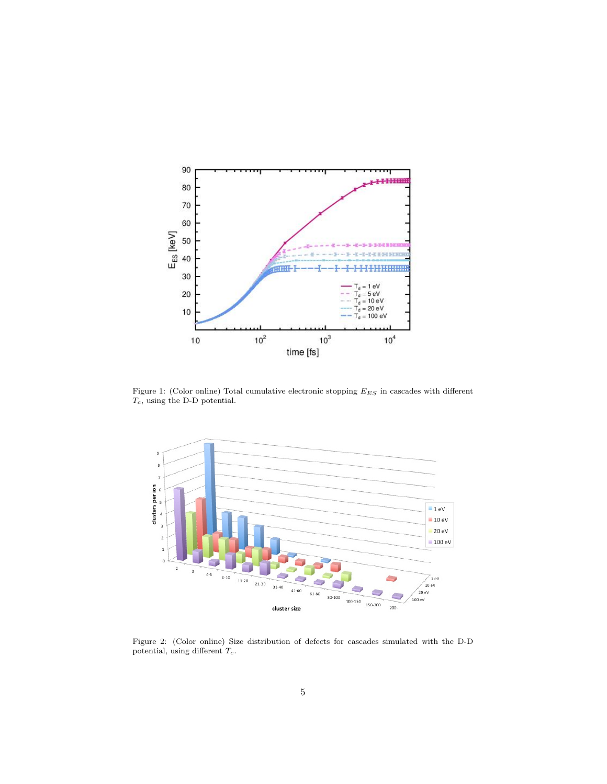

Figure 1: (Color online) Total cumulative electronic stopping  $E_{ES}$  in cascades with different  $T_c$ , using the D-D potential.



Figure 2: (Color online) Size distribution of defects for cascades simulated with the D-D potential, using different  $T_c$ .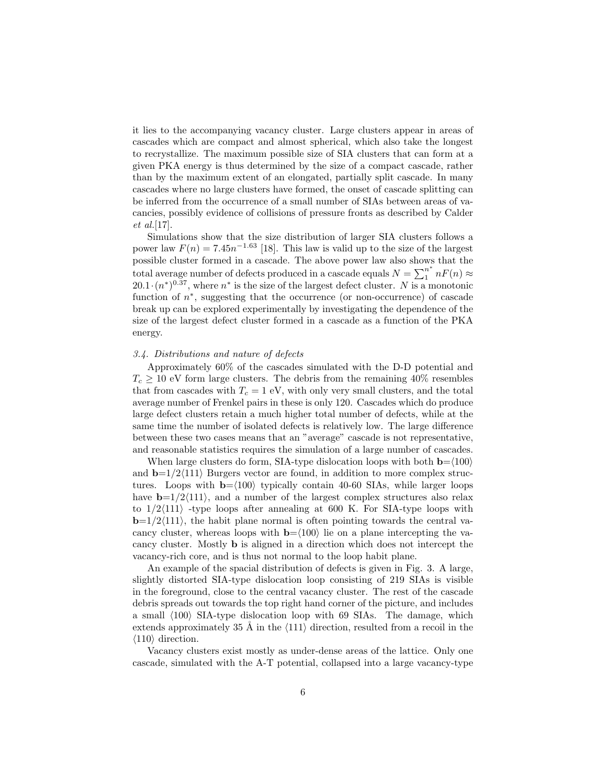it lies to the accompanying vacancy cluster. Large clusters appear in areas of cascades which are compact and almost spherical, which also take the longest to recrystallize. The maximum possible size of SIA clusters that can form at a given PKA energy is thus determined by the size of a compact cascade, rather than by the maximum extent of an elongated, partially split cascade. In many cascades where no large clusters have formed, the onset of cascade splitting can be inferred from the occurrence of a small number of SIAs between areas of vacancies, possibly evidence of collisions of pressure fronts as described by Calder et al.[17].

Simulations show that the size distribution of larger SIA clusters follows a power law  $F(n) = 7.45n^{-1.63}$  [18]. This law is valid up to the size of the largest possible cluster formed in a cascade. The above power law also shows that the total average number of defects produced in a cascade equals  $N = \sum_{1}^{n^*}$  $\binom{n}{1}$  nF(n)  $\approx$  $20.1 \cdot (n^*)^{0.37}$ , where  $n^*$  is the size of the largest defect cluster. N is a monotonic function of  $n^*$ , suggesting that the occurrence (or non-occurrence) of cascade break up can be explored experimentally by investigating the dependence of the size of the largest defect cluster formed in a cascade as a function of the PKA energy.

#### 3.4. Distributions and nature of defects

Approximately 60% of the cascades simulated with the D-D potential and  $T_c \geq 10$  eV form large clusters. The debris from the remaining  $40\%$  resembles that from cascades with  $T_c = 1$  eV, with only very small clusters, and the total average number of Frenkel pairs in these is only 120. Cascades which do produce large defect clusters retain a much higher total number of defects, while at the same time the number of isolated defects is relatively low. The large difference between these two cases means that an "average" cascade is not representative, and reasonable statistics requires the simulation of a large number of cascades.

When large clusters do form, SIA-type dislocation loops with both  $b=\langle100\rangle$ and  $b=1/2\langle 111 \rangle$  Burgers vector are found, in addition to more complex structures. Loops with  $b=\langle 100 \rangle$  typically contain 40-60 SIAs, while larger loops have  $\mathbf{b}=1/2\langle 111\rangle$ , and a number of the largest complex structures also relax to  $1/2\langle 111 \rangle$  -type loops after annealing at 600 K. For SIA-type loops with **, the habit plane normal is often pointing towards the central va**cancy cluster, whereas loops with  $b = \langle 100 \rangle$  lie on a plane intercepting the vacancy cluster. Mostly b is aligned in a direction which does not intercept the vacancy-rich core, and is thus not normal to the loop habit plane.

An example of the spacial distribution of defects is given in Fig. 3. A large, slightly distorted SIA-type dislocation loop consisting of 219 SIAs is visible in the foreground, close to the central vacancy cluster. The rest of the cascade debris spreads out towards the top right hand corner of the picture, and includes a small  $\langle 100 \rangle$  SIA-type dislocation loop with 69 SIAs. The damage, which extends approximately 35 Å in the  $\langle 111 \rangle$  direction, resulted from a recoil in the  $\langle 110 \rangle$  direction.

Vacancy clusters exist mostly as under-dense areas of the lattice. Only one cascade, simulated with the A-T potential, collapsed into a large vacancy-type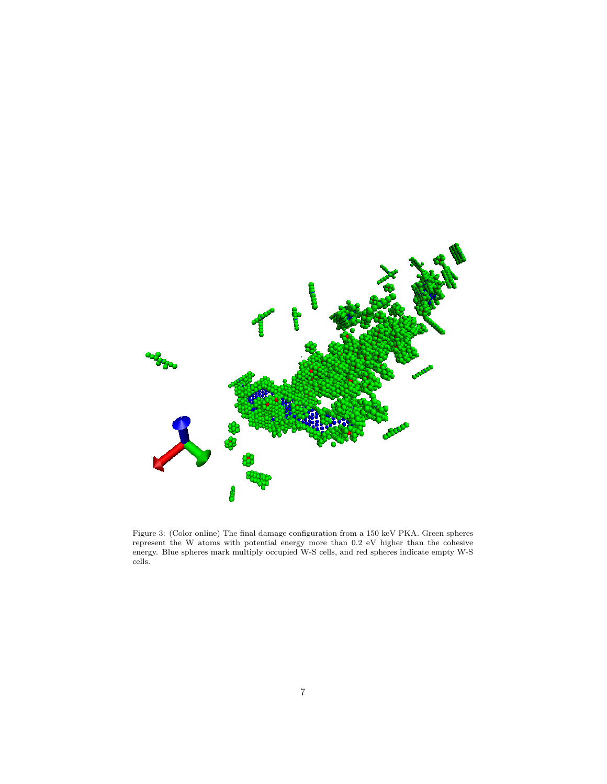

Figure 3: (Color online) The final damage configuration from a 150 keV PKA. Green spheres represent the W atoms with potential energy more than 0.2 eV higher than the cohesive energy. Blue spheres mark multiply occupied W-S cells, and red spheres indicate empty W-S cells.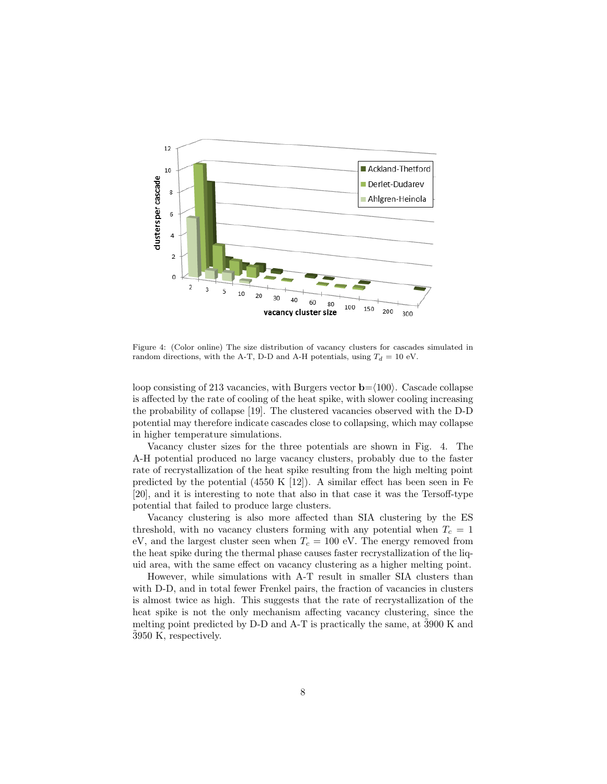

Figure 4: (Color online) The size distribution of vacancy clusters for cascades simulated in random directions, with the A-T, D-D and A-H potentials, using  $T_d = 10$  eV.

loop consisting of 213 vacancies, with Burgers vector  $\mathbf{b} = \langle 100 \rangle$ . Cascade collapse is affected by the rate of cooling of the heat spike, with slower cooling increasing the probability of collapse [19]. The clustered vacancies observed with the D-D potential may therefore indicate cascades close to collapsing, which may collapse in higher temperature simulations.

Vacancy cluster sizes for the three potentials are shown in Fig. 4. The A-H potential produced no large vacancy clusters, probably due to the faster rate of recrystallization of the heat spike resulting from the high melting point predicted by the potential  $(4550 \text{ K } [12])$ . A similar effect has been seen in Fe [20], and it is interesting to note that also in that case it was the Tersoff-type potential that failed to produce large clusters.

Vacancy clustering is also more affected than SIA clustering by the ES threshold, with no vacancy clusters forming with any potential when  $T_c = 1$ eV, and the largest cluster seen when  $T_c = 100$  eV. The energy removed from the heat spike during the thermal phase causes faster recrystallization of the liquid area, with the same effect on vacancy clustering as a higher melting point.

However, while simulations with A-T result in smaller SIA clusters than with D-D, and in total fewer Frenkel pairs, the fraction of vacancies in clusters is almost twice as high. This suggests that the rate of recrystallization of the heat spike is not the only mechanism affecting vacancy clustering, since the melting point predicted by  $D-D$  and  $A-T$  is practically the same, at 3900 K and ˜3950 K, respectively.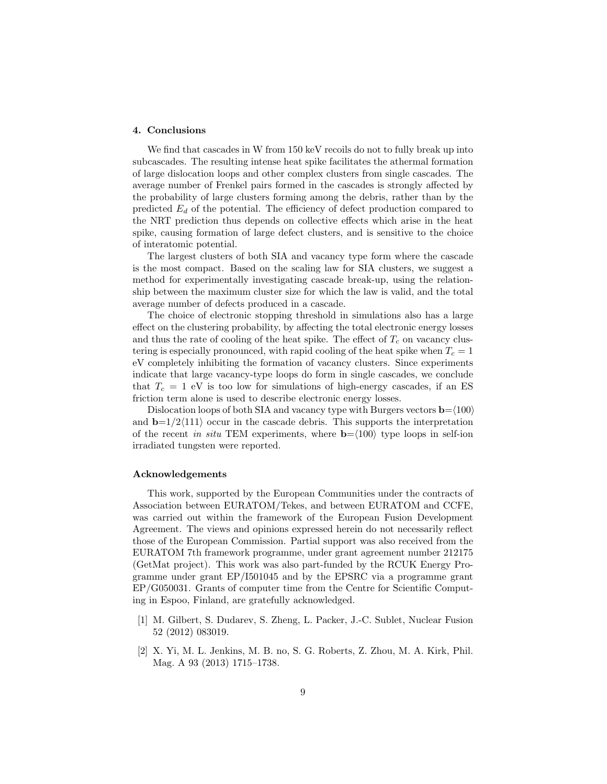# 4. Conclusions

We find that cascades in W from 150 keV recoils do not to fully break up into subcascades. The resulting intense heat spike facilitates the athermal formation of large dislocation loops and other complex clusters from single cascades. The average number of Frenkel pairs formed in the cascades is strongly affected by the probability of large clusters forming among the debris, rather than by the predicted  $E_d$  of the potential. The efficiency of defect production compared to the NRT prediction thus depends on collective effects which arise in the heat spike, causing formation of large defect clusters, and is sensitive to the choice of interatomic potential.

The largest clusters of both SIA and vacancy type form where the cascade is the most compact. Based on the scaling law for SIA clusters, we suggest a method for experimentally investigating cascade break-up, using the relationship between the maximum cluster size for which the law is valid, and the total average number of defects produced in a cascade.

The choice of electronic stopping threshold in simulations also has a large effect on the clustering probability, by affecting the total electronic energy losses and thus the rate of cooling of the heat spike. The effect of  $T_c$  on vacancy clustering is especially pronounced, with rapid cooling of the heat spike when  $T_c = 1$ eV completely inhibiting the formation of vacancy clusters. Since experiments indicate that large vacancy-type loops do form in single cascades, we conclude that  $T_c = 1$  eV is too low for simulations of high-energy cascades, if an ES friction term alone is used to describe electronic energy losses.

Dislocation loops of both SIA and vacancy type with Burgers vectors  $\mathbf{b} = \langle 100 \rangle$ and  $\mathbf{b} = 1/2\langle 111 \rangle$  occur in the cascade debris. This supports the interpretation of the recent in situ TEM experiments, where  $\mathbf{b} = \langle 100 \rangle$  type loops in self-ion irradiated tungsten were reported.

## Acknowledgements

This work, supported by the European Communities under the contracts of Association between EURATOM/Tekes, and between EURATOM and CCFE, was carried out within the framework of the European Fusion Development Agreement. The views and opinions expressed herein do not necessarily reflect those of the European Commission. Partial support was also received from the EURATOM 7th framework programme, under grant agreement number 212175 (GetMat project). This work was also part-funded by the RCUK Energy Programme under grant EP/I501045 and by the EPSRC via a programme grant EP/G050031. Grants of computer time from the Centre for Scientific Computing in Espoo, Finland, are gratefully acknowledged.

- [1] M. Gilbert, S. Dudarev, S. Zheng, L. Packer, J.-C. Sublet, Nuclear Fusion 52 (2012) 083019.
- [2] X. Yi, M. L. Jenkins, M. B. no, S. G. Roberts, Z. Zhou, M. A. Kirk, Phil. Mag. A 93 (2013) 1715–1738.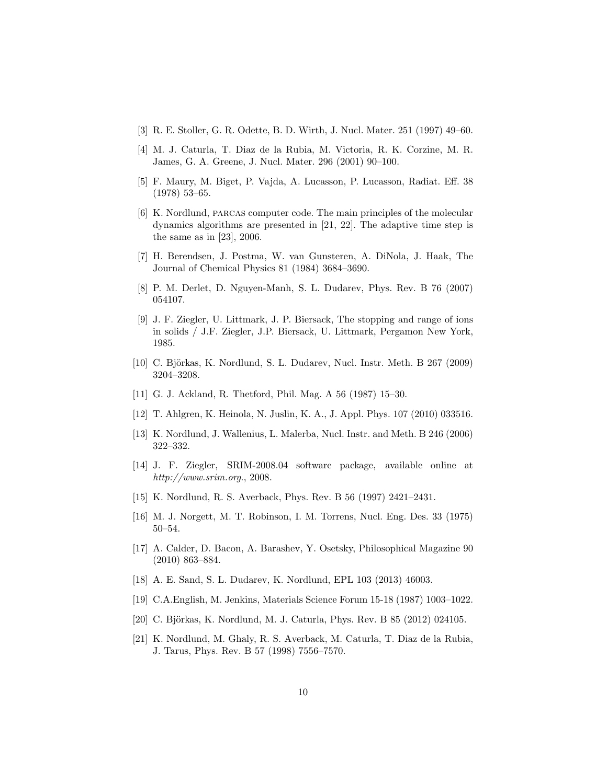- [3] R. E. Stoller, G. R. Odette, B. D. Wirth, J. Nucl. Mater. 251 (1997) 49–60.
- [4] M. J. Caturla, T. Diaz de la Rubia, M. Victoria, R. K. Corzine, M. R. James, G. A. Greene, J. Nucl. Mater. 296 (2001) 90–100.
- [5] F. Maury, M. Biget, P. Vajda, A. Lucasson, P. Lucasson, Radiat. Eff. 38 (1978) 53–65.
- [6] K. Nordlund, parcas computer code. The main principles of the molecular dynamics algorithms are presented in [21, 22]. The adaptive time step is the same as in [23], 2006.
- [7] H. Berendsen, J. Postma, W. van Gunsteren, A. DiNola, J. Haak, The Journal of Chemical Physics 81 (1984) 3684–3690.
- [8] P. M. Derlet, D. Nguyen-Manh, S. L. Dudarev, Phys. Rev. B 76 (2007) 054107.
- [9] J. F. Ziegler, U. Littmark, J. P. Biersack, The stopping and range of ions in solids / J.F. Ziegler, J.P. Biersack, U. Littmark, Pergamon New York, 1985.
- [10] C. Björkas, K. Nordlund, S. L. Dudarev, Nucl. Instr. Meth. B 267 (2009) 3204–3208.
- [11] G. J. Ackland, R. Thetford, Phil. Mag. A 56 (1987) 15–30.
- [12] T. Ahlgren, K. Heinola, N. Juslin, K. A., J. Appl. Phys. 107 (2010) 033516.
- [13] K. Nordlund, J. Wallenius, L. Malerba, Nucl. Instr. and Meth. B 246 (2006) 322–332.
- [14] J. F. Ziegler, SRIM-2008.04 software package, available online at http://www.srim.org., 2008.
- [15] K. Nordlund, R. S. Averback, Phys. Rev. B 56 (1997) 2421–2431.
- [16] M. J. Norgett, M. T. Robinson, I. M. Torrens, Nucl. Eng. Des. 33 (1975) 50–54.
- [17] A. Calder, D. Bacon, A. Barashev, Y. Osetsky, Philosophical Magazine 90 (2010) 863–884.
- [18] A. E. Sand, S. L. Dudarev, K. Nordlund, EPL 103 (2013) 46003.
- [19] C.A.English, M. Jenkins, Materials Science Forum 15-18 (1987) 1003–1022.
- [20] C. Björkas, K. Nordlund, M. J. Caturla, Phys. Rev. B 85 (2012) 024105.
- [21] K. Nordlund, M. Ghaly, R. S. Averback, M. Caturla, T. Diaz de la Rubia, J. Tarus, Phys. Rev. B 57 (1998) 7556–7570.